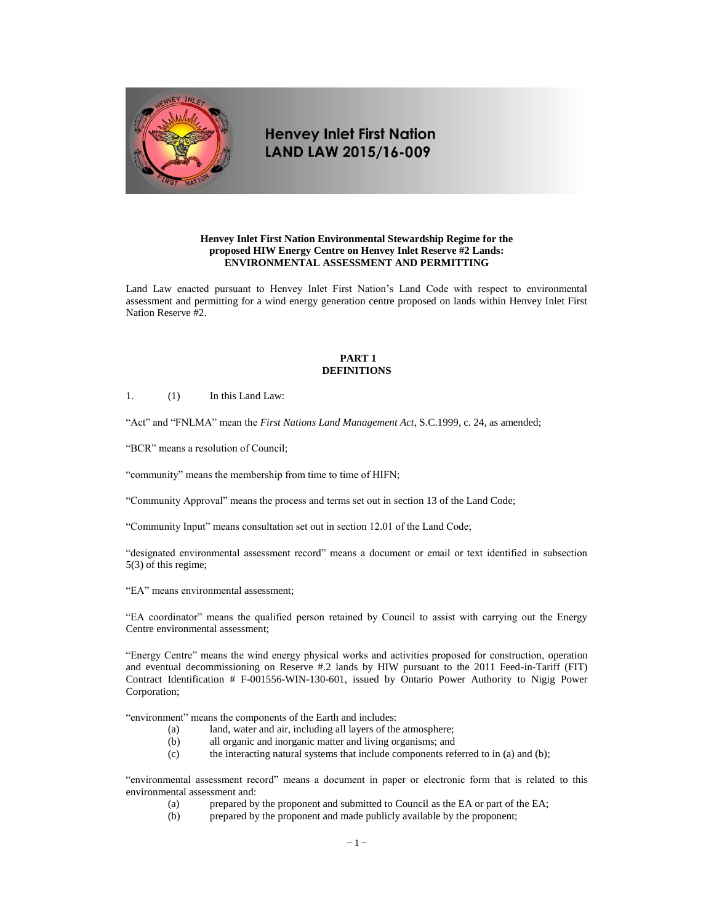

# **Henvey Inlet First Nation** LAND LAW 2015/16-009

## **Henvey Inlet First Nation Environmental Stewardship Regime for the proposed HIW Energy Centre on Henvey Inlet Reserve #2 Lands: ENVIRONMENTAL ASSESSMENT AND PERMITTING**

Land Law enacted pursuant to Henvey Inlet First Nation's Land Code with respect to environmental assessment and permitting for a wind energy generation centre proposed on lands within Henvey Inlet First Nation Reserve #2.

## **PART 1 DEFINITIONS**

1. (1) In this Land Law:

"Act" and "FNLMA" mean the *First Nations Land Management Act*, S.C.1999, c. 24, as amended;

"BCR" means a resolution of Council;

"community" means the membership from time to time of HIFN;

"Community Approval" means the process and terms set out in section 13 of the Land Code;

"Community Input" means consultation set out in section 12.01 of the Land Code;

"designated environmental assessment record" means a document or email or text identified in subsection 5(3) of this regime;

"EA" means environmental assessment;

"EA coordinator" means the qualified person retained by Council to assist with carrying out the Energy Centre environmental assessment;

"Energy Centre" means the wind energy physical works and activities proposed for construction, operation and eventual decommissioning on Reserve #.2 lands by HIW pursuant to the 2011 Feed-in-Tariff (FIT) Contract Identification # F-001556-WIN-130-601, issued by Ontario Power Authority to Nigig Power Corporation;

"environment" means the components of the Earth and includes:

- (a) land, water and air, including all layers of the atmosphere;
- (b) all organic and inorganic matter and living organisms; and
- (c) the interacting natural systems that include components referred to in (a) and (b);

"environmental assessment record" means a document in paper or electronic form that is related to this environmental assessment and:

- (a) prepared by the proponent and submitted to Council as the EA or part of the EA;
	- (b) prepared by the proponent and made publicly available by the proponent;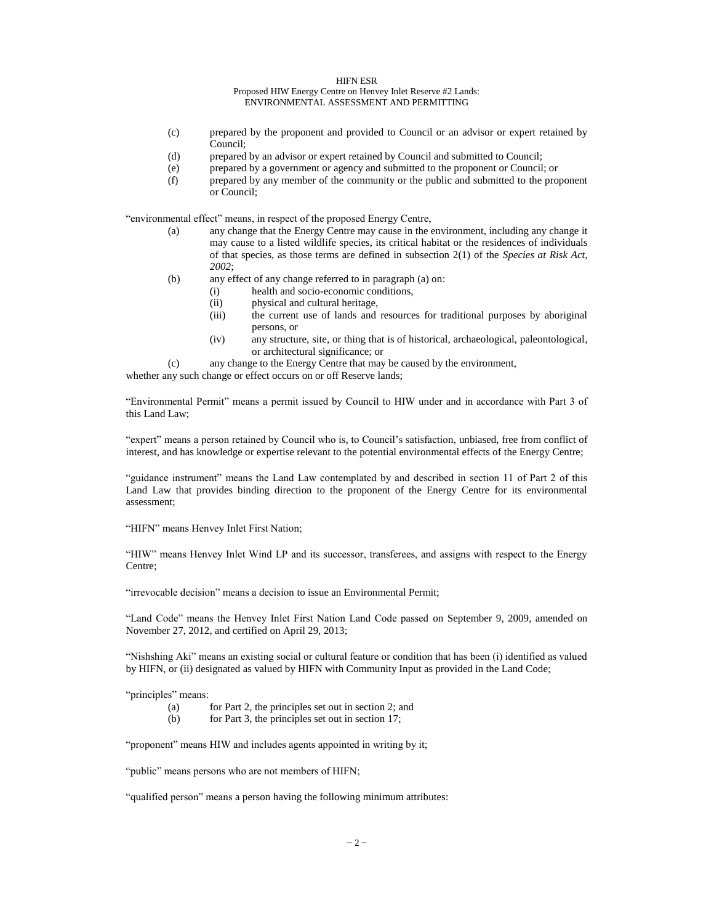HIFN ESR

Proposed HIW Energy Centre on Henvey Inlet Reserve #2 Lands: ENVIRONMENTAL ASSESSMENT AND PERMITTING

- (c) prepared by the proponent and provided to Council or an advisor or expert retained by Council;
- (d) prepared by an advisor or expert retained by Council and submitted to Council;
- (e) prepared by a government or agency and submitted to the proponent or Council; or
- (f) prepared by any member of the community or the public and submitted to the proponent or Council;

"environmental effect" means, in respect of the proposed Energy Centre,

- (a) any change that the Energy Centre may cause in the environment, including any change it may cause to a listed wildlife species, its critical habitat or the residences of individuals of that species, as those terms are defined in subsection 2(1) of the *Species at Risk Act, 2002*;
- (b) any effect of any change referred to in paragraph (a) on:
	- (i) health and socio-economic conditions,
	- (ii) physical and cultural heritage,
	- (iii) the current use of lands and resources for traditional purposes by aboriginal persons, or
	- (iv) any structure, site, or thing that is of historical, archaeological, paleontological, or architectural significance; or
- (c) any change to the Energy Centre that may be caused by the environment,

whether any such change or effect occurs on or off Reserve lands;

"Environmental Permit" means a permit issued by Council to HIW under and in accordance with Part 3 of this Land Law;

"expert" means a person retained by Council who is, to Council's satisfaction, unbiased, free from conflict of interest, and has knowledge or expertise relevant to the potential environmental effects of the Energy Centre;

"guidance instrument" means the Land Law contemplated by and described in section 11 of Part 2 of this Land Law that provides binding direction to the proponent of the Energy Centre for its environmental assessment;

"HIFN" means Henvey Inlet First Nation;

"HIW" means Henvey Inlet Wind LP and its successor, transferees, and assigns with respect to the Energy Centre;

"irrevocable decision" means a decision to issue an Environmental Permit;

"Land Code" means the Henvey Inlet First Nation Land Code passed on September 9, 2009, amended on November 27, 2012, and certified on April 29, 2013;

"Nishshing Aki" means an existing social or cultural feature or condition that has been (i) identified as valued by HIFN, or (ii) designated as valued by HIFN with Community Input as provided in the Land Code;

"principles" means:

- (a) for Part 2, the principles set out in section 2; and
- (b) for Part 3, the principles set out in section 17;

"proponent" means HIW and includes agents appointed in writing by it;

"public" means persons who are not members of HIFN;

"qualified person" means a person having the following minimum attributes: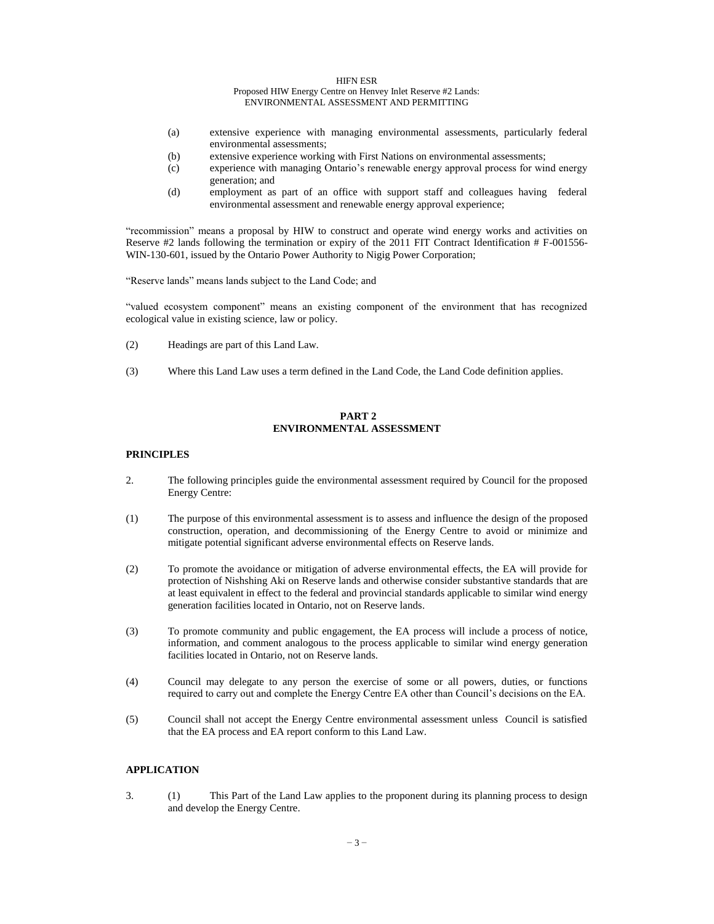- (a) extensive experience with managing environmental assessments, particularly federal environmental assessments;
- (b) extensive experience working with First Nations on environmental assessments;
- (c) experience with managing Ontario's renewable energy approval process for wind energy generation; and
- (d) employment as part of an office with support staff and colleagues having federal environmental assessment and renewable energy approval experience;

"recommission" means a proposal by HIW to construct and operate wind energy works and activities on Reserve #2 lands following the termination or expiry of the 2011 FIT Contract Identification # F-001556- WIN-130-601, issued by the Ontario Power Authority to Nigig Power Corporation;

"Reserve lands" means lands subject to the Land Code; and

"valued ecosystem component" means an existing component of the environment that has recognized ecological value in existing science, law or policy.

- (2) Headings are part of this Land Law.
- (3) Where this Land Law uses a term defined in the Land Code, the Land Code definition applies.

## **PART 2 ENVIRONMENTAL ASSESSMENT**

### **PRINCIPLES**

- 2. The following principles guide the environmental assessment required by Council for the proposed Energy Centre:
- (1) The purpose of this environmental assessment is to assess and influence the design of the proposed construction, operation, and decommissioning of the Energy Centre to avoid or minimize and mitigate potential significant adverse environmental effects on Reserve lands.
- (2) To promote the avoidance or mitigation of adverse environmental effects, the EA will provide for protection of Nishshing Aki on Reserve lands and otherwise consider substantive standards that are at least equivalent in effect to the federal and provincial standards applicable to similar wind energy generation facilities located in Ontario, not on Reserve lands.
- (3) To promote community and public engagement, the EA process will include a process of notice, information, and comment analogous to the process applicable to similar wind energy generation facilities located in Ontario, not on Reserve lands.
- (4) Council may delegate to any person the exercise of some or all powers, duties, or functions required to carry out and complete the Energy Centre EA other than Council's decisions on the EA.
- (5) Council shall not accept the Energy Centre environmental assessment unless Council is satisfied that the EA process and EA report conform to this Land Law.

# **APPLICATION**

3. (1) This Part of the Land Law applies to the proponent during its planning process to design and develop the Energy Centre.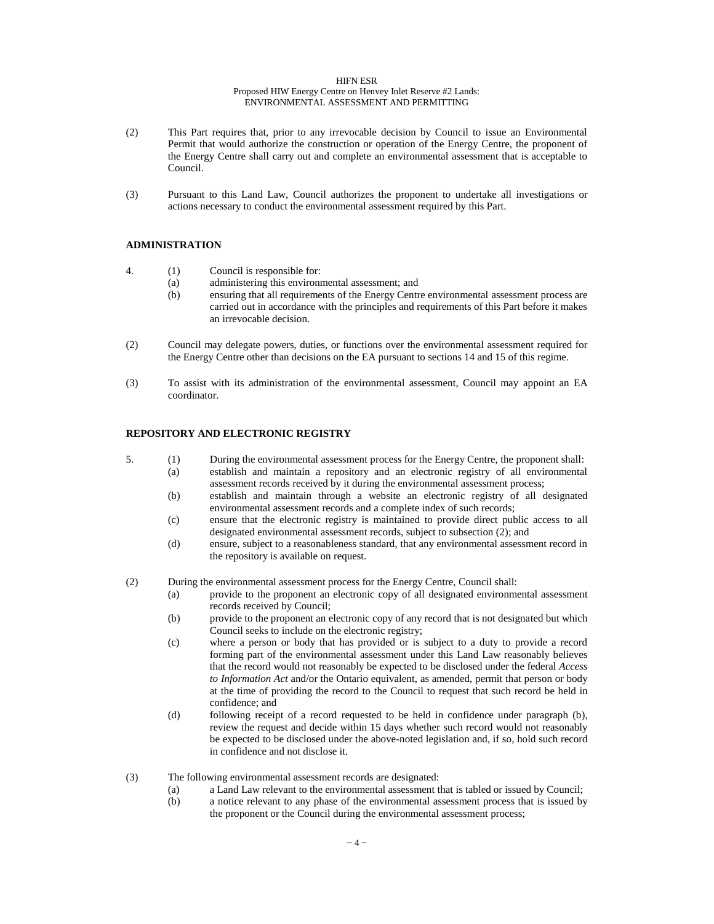#### HIFN ESR

#### Proposed HIW Energy Centre on Henvey Inlet Reserve #2 Lands: ENVIRONMENTAL ASSESSMENT AND PERMITTING

- (2) This Part requires that, prior to any irrevocable decision by Council to issue an Environmental Permit that would authorize the construction or operation of the Energy Centre, the proponent of the Energy Centre shall carry out and complete an environmental assessment that is acceptable to Council.
- (3) Pursuant to this Land Law, Council authorizes the proponent to undertake all investigations or actions necessary to conduct the environmental assessment required by this Part.

# **ADMINISTRATION**

- 4. (1) Council is responsible for:
	- (a) administering this environmental assessment; and
	- (b) ensuring that all requirements of the Energy Centre environmental assessment process are carried out in accordance with the principles and requirements of this Part before it makes an irrevocable decision.
- (2) Council may delegate powers, duties, or functions over the environmental assessment required for the Energy Centre other than decisions on the EA pursuant to sections 14 and 15 of this regime.
- (3) To assist with its administration of the environmental assessment, Council may appoint an EA coordinator.

## **REPOSITORY AND ELECTRONIC REGISTRY**

- 5. (1) During the environmental assessment process for the Energy Centre, the proponent shall:
	- (a) establish and maintain a repository and an electronic registry of all environmental assessment records received by it during the environmental assessment process;
		- (b) establish and maintain through a website an electronic registry of all designated environmental assessment records and a complete index of such records;
		- (c) ensure that the electronic registry is maintained to provide direct public access to all designated environmental assessment records, subject to subsection (2); and
		- (d) ensure, subject to a reasonableness standard, that any environmental assessment record in the repository is available on request.
- (2) During the environmental assessment process for the Energy Centre, Council shall:
	- (a) provide to the proponent an electronic copy of all designated environmental assessment records received by Council;
	- (b) provide to the proponent an electronic copy of any record that is not designated but which Council seeks to include on the electronic registry;
	- (c) where a person or body that has provided or is subject to a duty to provide a record forming part of the environmental assessment under this Land Law reasonably believes that the record would not reasonably be expected to be disclosed under the federal *Access to Information Act* and/or the Ontario equivalent, as amended, permit that person or body at the time of providing the record to the Council to request that such record be held in confidence; and
	- (d) following receipt of a record requested to be held in confidence under paragraph (b), review the request and decide within 15 days whether such record would not reasonably be expected to be disclosed under the above-noted legislation and, if so, hold such record in confidence and not disclose it.
- (3) The following environmental assessment records are designated:
	- (a) a Land Law relevant to the environmental assessment that is tabled or issued by Council;
	- (b) a notice relevant to any phase of the environmental assessment process that is issued by the proponent or the Council during the environmental assessment process;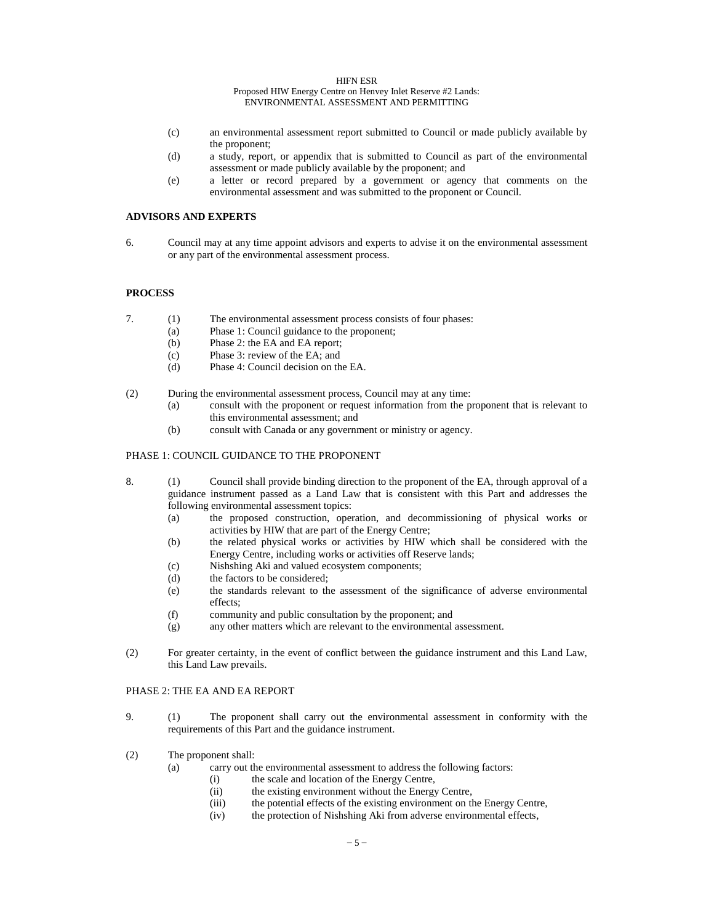- (c) an environmental assessment report submitted to Council or made publicly available by the proponent;
- (d) a study, report, or appendix that is submitted to Council as part of the environmental assessment or made publicly available by the proponent; and
- (e) a letter or record prepared by a government or agency that comments on the environmental assessment and was submitted to the proponent or Council.

## **ADVISORS AND EXPERTS**

6. Council may at any time appoint advisors and experts to advise it on the environmental assessment or any part of the environmental assessment process.

### **PROCESS**

- 7. (1) The environmental assessment process consists of four phases:
	- (a) Phase 1: Council guidance to the proponent;
	- (b) Phase 2: the EA and EA report;
	- (c) Phase 3: review of the EA; and
	- (d) Phase 4: Council decision on the EA.
- (2) During the environmental assessment process, Council may at any time:
	- (a) consult with the proponent or request information from the proponent that is relevant to this environmental assessment; and
	- (b) consult with Canada or any government or ministry or agency.

#### PHASE 1: COUNCIL GUIDANCE TO THE PROPONENT

- 8. (1) Council shall provide binding direction to the proponent of the EA, through approval of a guidance instrument passed as a Land Law that is consistent with this Part and addresses the following environmental assessment topics:
	- (a) the proposed construction, operation, and decommissioning of physical works or activities by HIW that are part of the Energy Centre;
	- (b) the related physical works or activities by HIW which shall be considered with the Energy Centre, including works or activities off Reserve lands;
	- (c) Nishshing Aki and valued ecosystem components;
	- (d) the factors to be considered;
	- (e) the standards relevant to the assessment of the significance of adverse environmental effects;
	- (f) community and public consultation by the proponent; and
	- (g) any other matters which are relevant to the environmental assessment.
- (2) For greater certainty, in the event of conflict between the guidance instrument and this Land Law, this Land Law prevails.

## PHASE 2: THE EA AND EA REPORT

- 9. (1) The proponent shall carry out the environmental assessment in conformity with the requirements of this Part and the guidance instrument.
- (2) The proponent shall:
	- (a) carry out the environmental assessment to address the following factors:
		- (i) the scale and location of the Energy Centre,
			- (ii) the existing environment without the Energy Centre,
			- (iii) the potential effects of the existing environment on the Energy Centre,
			- (iv) the protection of Nishshing Aki from adverse environmental effects,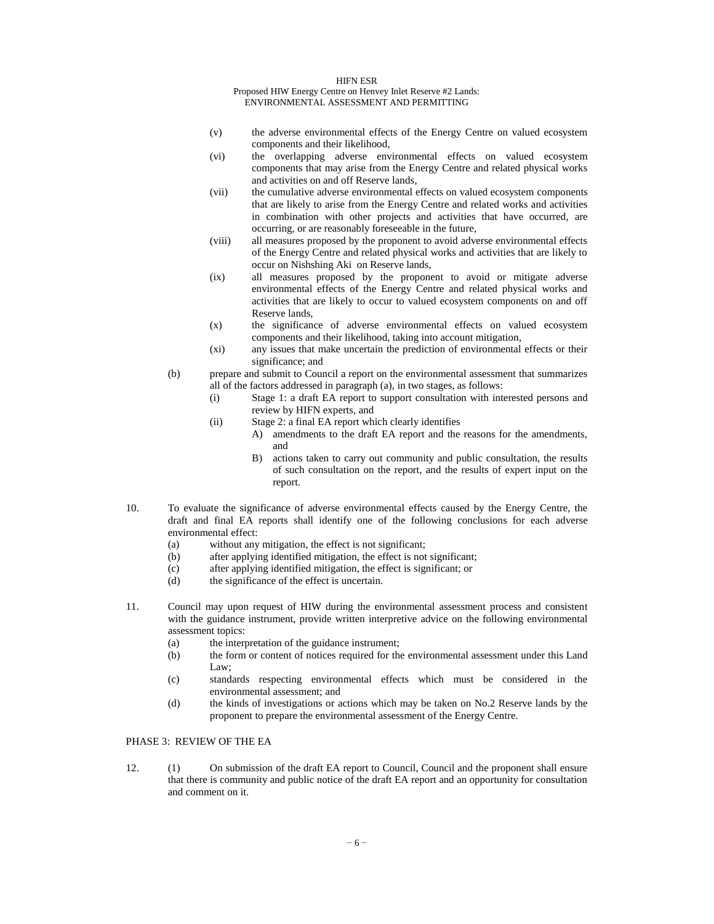- (v) the adverse environmental effects of the Energy Centre on valued ecosystem components and their likelihood,
- (vi) the overlapping adverse environmental effects on valued ecosystem components that may arise from the Energy Centre and related physical works and activities on and off Reserve lands,
- (vii) the cumulative adverse environmental effects on valued ecosystem components that are likely to arise from the Energy Centre and related works and activities in combination with other projects and activities that have occurred, are occurring, or are reasonably foreseeable in the future,
- (viii) all measures proposed by the proponent to avoid adverse environmental effects of the Energy Centre and related physical works and activities that are likely to occur on Nishshing Aki on Reserve lands,
- (ix) all measures proposed by the proponent to avoid or mitigate adverse environmental effects of the Energy Centre and related physical works and activities that are likely to occur to valued ecosystem components on and off Reserve lands,
- (x) the significance of adverse environmental effects on valued ecosystem components and their likelihood, taking into account mitigation,
- (xi) any issues that make uncertain the prediction of environmental effects or their significance; and
- (b) prepare and submit to Council a report on the environmental assessment that summarizes all of the factors addressed in paragraph (a), in two stages, as follows:
	- (i) Stage 1: a draft EA report to support consultation with interested persons and review by HIFN experts, and
	- (ii) Stage 2: a final EA report which clearly identifies
		- A) amendments to the draft EA report and the reasons for the amendments, and
			- B) actions taken to carry out community and public consultation, the results of such consultation on the report, and the results of expert input on the report.
- 10. To evaluate the significance of adverse environmental effects caused by the Energy Centre, the draft and final EA reports shall identify one of the following conclusions for each adverse environmental effect:
	- (a) without any mitigation, the effect is not significant;
	- (b) after applying identified mitigation, the effect is not significant;
	- (c) after applying identified mitigation, the effect is significant; or
	- (d) the significance of the effect is uncertain.
- 11. Council may upon request of HIW during the environmental assessment process and consistent with the guidance instrument, provide written interpretive advice on the following environmental assessment topics:
	- (a) the interpretation of the guidance instrument;
	- (b) the form or content of notices required for the environmental assessment under this Land Law;
	- (c) standards respecting environmental effects which must be considered in the environmental assessment; and
	- (d) the kinds of investigations or actions which may be taken on No.2 Reserve lands by the proponent to prepare the environmental assessment of the Energy Centre.

# PHASE 3: REVIEW OF THE EA

12. (1) On submission of the draft EA report to Council, Council and the proponent shall ensure that there is community and public notice of the draft EA report and an opportunity for consultation and comment on it.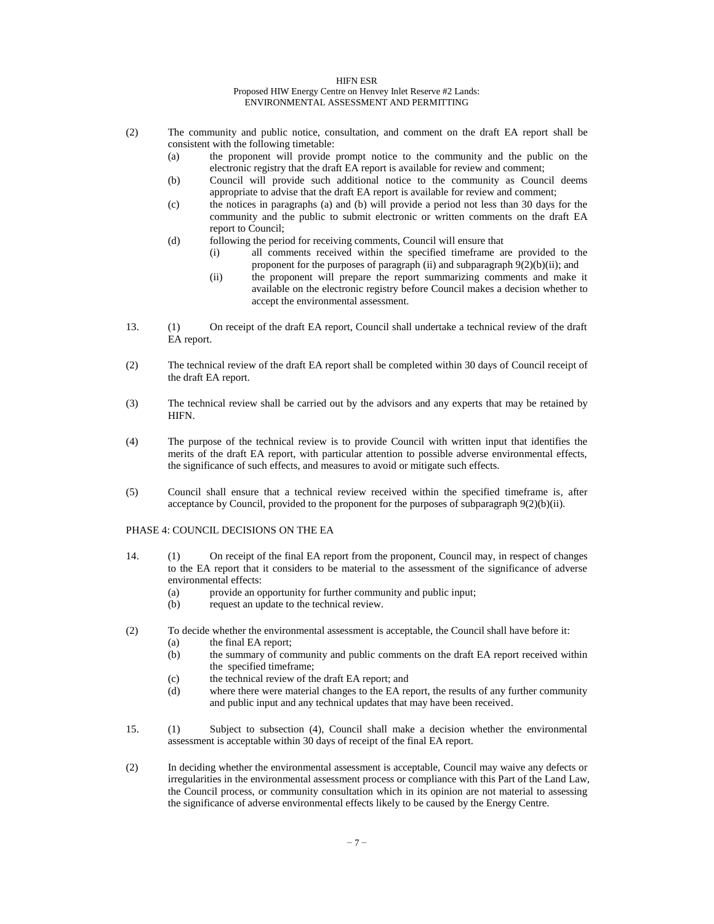- (2) The community and public notice, consultation, and comment on the draft EA report shall be consistent with the following timetable:
	- (a) the proponent will provide prompt notice to the community and the public on the electronic registry that the draft EA report is available for review and comment;
	- (b) Council will provide such additional notice to the community as Council deems appropriate to advise that the draft EA report is available for review and comment;
	- (c) the notices in paragraphs (a) and (b) will provide a period not less than 30 days for the community and the public to submit electronic or written comments on the draft EA report to Council;
	- (d) following the period for receiving comments, Council will ensure that
		- (i) all comments received within the specified timeframe are provided to the proponent for the purposes of paragraph (ii) and subparagraph 9(2)(b)(ii); and
		- (ii) the proponent will prepare the report summarizing comments and make it available on the electronic registry before Council makes a decision whether to accept the environmental assessment.
- 13. (1) On receipt of the draft EA report, Council shall undertake a technical review of the draft EA report.
- (2) The technical review of the draft EA report shall be completed within 30 days of Council receipt of the draft EA report.
- (3) The technical review shall be carried out by the advisors and any experts that may be retained by HIFN.
- (4) The purpose of the technical review is to provide Council with written input that identifies the merits of the draft EA report, with particular attention to possible adverse environmental effects, the significance of such effects, and measures to avoid or mitigate such effects.
- (5) Council shall ensure that a technical review received within the specified timeframe is, after acceptance by Council, provided to the proponent for the purposes of subparagraph  $9(2)(b)(ii)$ .

# PHASE 4: COUNCIL DECISIONS ON THE EA

- 14. (1) On receipt of the final EA report from the proponent, Council may, in respect of changes to the EA report that it considers to be material to the assessment of the significance of adverse environmental effects:
	- (a) provide an opportunity for further community and public input;
	- (b) request an update to the technical review.
- (2) To decide whether the environmental assessment is acceptable, the Council shall have before it:
	- (a) the final EA report;
	- (b) the summary of community and public comments on the draft EA report received within the specified timeframe;
	- (c) the technical review of the draft EA report; and
	- (d) where there were material changes to the EA report, the results of any further community and public input and any technical updates that may have been received.
- 15. (1) Subject to subsection (4), Council shall make a decision whether the environmental assessment is acceptable within 30 days of receipt of the final EA report.
- (2) In deciding whether the environmental assessment is acceptable, Council may waive any defects or irregularities in the environmental assessment process or compliance with this Part of the Land Law, the Council process, or community consultation which in its opinion are not material to assessing the significance of adverse environmental effects likely to be caused by the Energy Centre.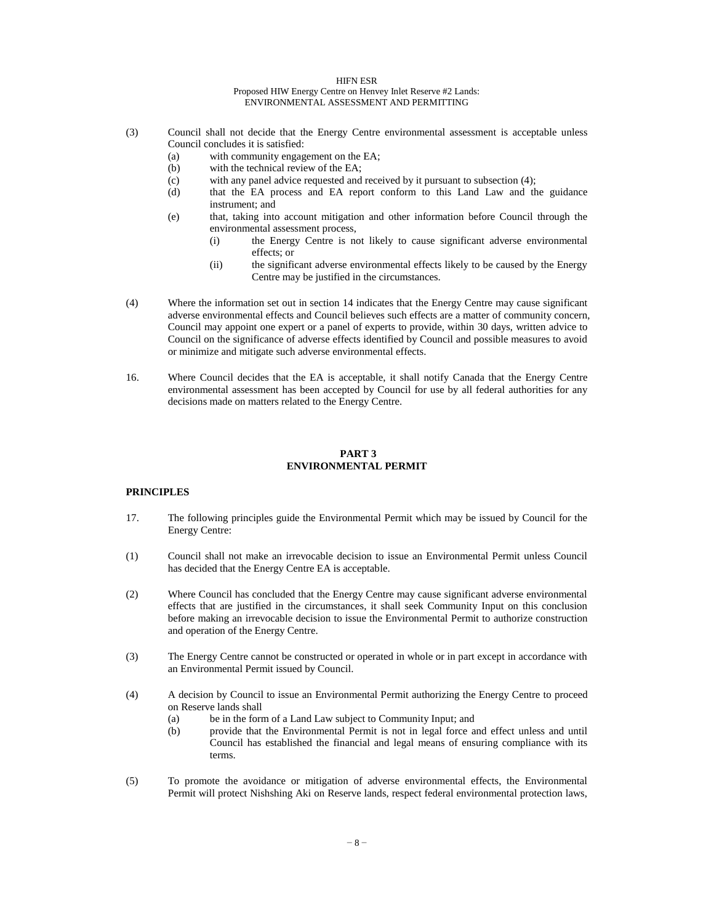- (3) Council shall not decide that the Energy Centre environmental assessment is acceptable unless Council concludes it is satisfied:
	- (a) with community engagement on the EA;
	- (b) with the technical review of the EA;
	- (c) with any panel advice requested and received by it pursuant to subsection (4);
	- (d) that the EA process and EA report conform to this Land Law and the guidance instrument; and
	- (e) that, taking into account mitigation and other information before Council through the environmental assessment process,
		- (i) the Energy Centre is not likely to cause significant adverse environmental effects; or
		- (ii) the significant adverse environmental effects likely to be caused by the Energy Centre may be justified in the circumstances.
- (4) Where the information set out in section 14 indicates that the Energy Centre may cause significant adverse environmental effects and Council believes such effects are a matter of community concern, Council may appoint one expert or a panel of experts to provide, within 30 days, written advice to Council on the significance of adverse effects identified by Council and possible measures to avoid or minimize and mitigate such adverse environmental effects.
- 16. Where Council decides that the EA is acceptable, it shall notify Canada that the Energy Centre environmental assessment has been accepted by Council for use by all federal authorities for any decisions made on matters related to the Energy Centre.

## **PART 3 ENVIRONMENTAL PERMIT**

### **PRINCIPLES**

- 17. The following principles guide the Environmental Permit which may be issued by Council for the Energy Centre:
- (1) Council shall not make an irrevocable decision to issue an Environmental Permit unless Council has decided that the Energy Centre EA is acceptable.
- (2) Where Council has concluded that the Energy Centre may cause significant adverse environmental effects that are justified in the circumstances, it shall seek Community Input on this conclusion before making an irrevocable decision to issue the Environmental Permit to authorize construction and operation of the Energy Centre.
- (3) The Energy Centre cannot be constructed or operated in whole or in part except in accordance with an Environmental Permit issued by Council.
- (4) A decision by Council to issue an Environmental Permit authorizing the Energy Centre to proceed on Reserve lands shall
	- (a) be in the form of a Land Law subject to Community Input; and
	- (b) provide that the Environmental Permit is not in legal force and effect unless and until Council has established the financial and legal means of ensuring compliance with its terms.
- (5) To promote the avoidance or mitigation of adverse environmental effects, the Environmental Permit will protect Nishshing Aki on Reserve lands, respect federal environmental protection laws,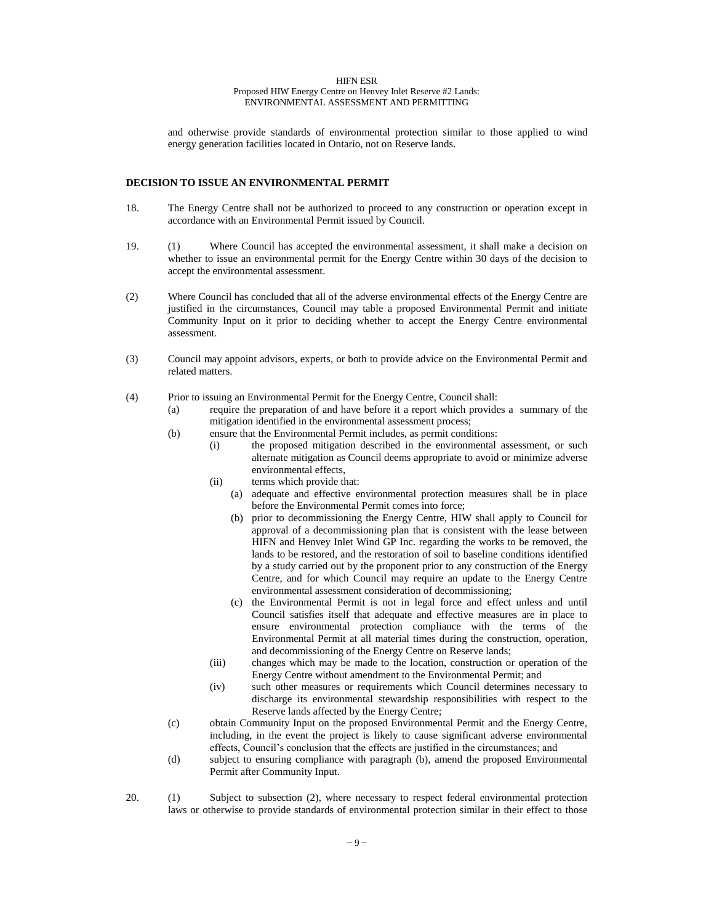and otherwise provide standards of environmental protection similar to those applied to wind energy generation facilities located in Ontario, not on Reserve lands.

#### **DECISION TO ISSUE AN ENVIRONMENTAL PERMIT**

- 18. The Energy Centre shall not be authorized to proceed to any construction or operation except in accordance with an Environmental Permit issued by Council.
- 19. (1) Where Council has accepted the environmental assessment, it shall make a decision on whether to issue an environmental permit for the Energy Centre within 30 days of the decision to accept the environmental assessment.
- (2) Where Council has concluded that all of the adverse environmental effects of the Energy Centre are justified in the circumstances, Council may table a proposed Environmental Permit and initiate Community Input on it prior to deciding whether to accept the Energy Centre environmental assessment.
- (3) Council may appoint advisors, experts, or both to provide advice on the Environmental Permit and related matters.
- (4) Prior to issuing an Environmental Permit for the Energy Centre, Council shall:
	- (a) require the preparation of and have before it a report which provides a summary of the mitigation identified in the environmental assessment process;
	- (b) ensure that the Environmental Permit includes, as permit conditions:
		- (i) the proposed mitigation described in the environmental assessment, or such alternate mitigation as Council deems appropriate to avoid or minimize adverse environmental effects,
		- (ii) terms which provide that:
			- (a) adequate and effective environmental protection measures shall be in place before the Environmental Permit comes into force;
			- (b) prior to decommissioning the Energy Centre, HIW shall apply to Council for approval of a decommissioning plan that is consistent with the lease between HIFN and Henvey Inlet Wind GP Inc. regarding the works to be removed, the lands to be restored, and the restoration of soil to baseline conditions identified by a study carried out by the proponent prior to any construction of the Energy Centre, and for which Council may require an update to the Energy Centre environmental assessment consideration of decommissioning;
			- (c) the Environmental Permit is not in legal force and effect unless and until Council satisfies itself that adequate and effective measures are in place to ensure environmental protection compliance with the terms of the Environmental Permit at all material times during the construction, operation, and decommissioning of the Energy Centre on Reserve lands;
		- (iii) changes which may be made to the location, construction or operation of the Energy Centre without amendment to the Environmental Permit; and
		- (iv) such other measures or requirements which Council determines necessary to discharge its environmental stewardship responsibilities with respect to the Reserve lands affected by the Energy Centre;
	- (c) obtain Community Input on the proposed Environmental Permit and the Energy Centre, including, in the event the project is likely to cause significant adverse environmental effects, Council's conclusion that the effects are justified in the circumstances; and
	- (d) subject to ensuring compliance with paragraph (b), amend the proposed Environmental Permit after Community Input.
- 20. (1) Subject to subsection (2), where necessary to respect federal environmental protection laws or otherwise to provide standards of environmental protection similar in their effect to those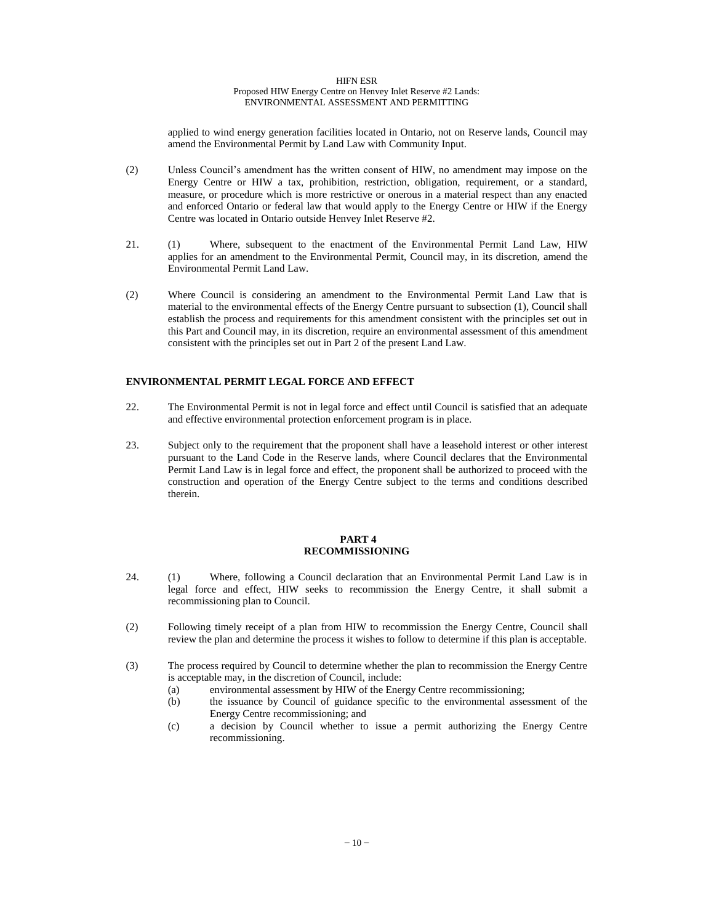applied to wind energy generation facilities located in Ontario, not on Reserve lands, Council may amend the Environmental Permit by Land Law with Community Input.

- (2) Unless Council's amendment has the written consent of HIW, no amendment may impose on the Energy Centre or HIW a tax, prohibition, restriction, obligation, requirement, or a standard, measure, or procedure which is more restrictive or onerous in a material respect than any enacted and enforced Ontario or federal law that would apply to the Energy Centre or HIW if the Energy Centre was located in Ontario outside Henvey Inlet Reserve #2.
- 21. (1) Where, subsequent to the enactment of the Environmental Permit Land Law, HIW applies for an amendment to the Environmental Permit, Council may, in its discretion, amend the Environmental Permit Land Law.
- (2) Where Council is considering an amendment to the Environmental Permit Land Law that is material to the environmental effects of the Energy Centre pursuant to subsection (1), Council shall establish the process and requirements for this amendment consistent with the principles set out in this Part and Council may, in its discretion, require an environmental assessment of this amendment consistent with the principles set out in Part 2 of the present Land Law.

## **ENVIRONMENTAL PERMIT LEGAL FORCE AND EFFECT**

- 22. The Environmental Permit is not in legal force and effect until Council is satisfied that an adequate and effective environmental protection enforcement program is in place.
- 23. Subject only to the requirement that the proponent shall have a leasehold interest or other interest pursuant to the Land Code in the Reserve lands, where Council declares that the Environmental Permit Land Law is in legal force and effect, the proponent shall be authorized to proceed with the construction and operation of the Energy Centre subject to the terms and conditions described therein.

## **PART 4 RECOMMISSIONING**

- 24. (1) Where, following a Council declaration that an Environmental Permit Land Law is in legal force and effect, HIW seeks to recommission the Energy Centre, it shall submit a recommissioning plan to Council.
- (2) Following timely receipt of a plan from HIW to recommission the Energy Centre, Council shall review the plan and determine the process it wishes to follow to determine if this plan is acceptable.
- (3) The process required by Council to determine whether the plan to recommission the Energy Centre is acceptable may, in the discretion of Council, include:
	- (a) environmental assessment by HIW of the Energy Centre recommissioning;
	- (b) the issuance by Council of guidance specific to the environmental assessment of the Energy Centre recommissioning; and
	- (c) a decision by Council whether to issue a permit authorizing the Energy Centre recommissioning.